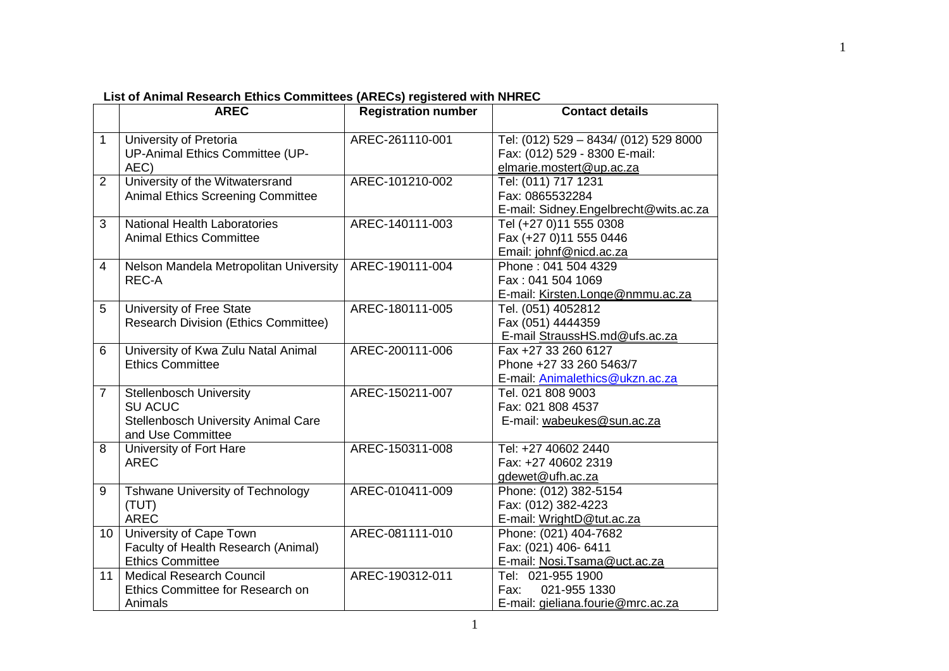|                | <b>AREC</b>                                                                                                  | <b>Registration number</b> | <b>Contact details</b>                                                                             |
|----------------|--------------------------------------------------------------------------------------------------------------|----------------------------|----------------------------------------------------------------------------------------------------|
| $\mathbf 1$    | University of Pretoria<br>UP-Animal Ethics Committee (UP-<br>AEC)                                            | AREC-261110-001            | Tel: (012) 529 - 8434/ (012) 529 8000<br>Fax: (012) 529 - 8300 E-mail:<br>elmarie.mostert@up.ac.za |
| $\overline{2}$ | University of the Witwatersrand<br><b>Animal Ethics Screening Committee</b>                                  | AREC-101210-002            | Tel: (011) 717 1231<br>Fax: 0865532284<br>E-mail: Sidney.Engelbrecht@wits.ac.za                    |
| 3              | <b>National Health Laboratories</b><br><b>Animal Ethics Committee</b>                                        | AREC-140111-003            | Tel (+27 0)11 555 0308<br>Fax (+27 0)11 555 0446<br>Email: johnf@nicd.ac.za                        |
| 4              | Nelson Mandela Metropolitan University<br>REC-A                                                              | AREC-190111-004            | Phone: 041 504 4329<br>Fax: 041 504 1069<br>E-mail: Kirsten.Longe@nmmu.ac.za                       |
| 5              | University of Free State<br><b>Research Division (Ethics Committee)</b>                                      | AREC-180111-005            | Tel. (051) 4052812<br>Fax (051) 4444359<br>E-mail StraussHS.md@ufs.ac.za                           |
| 6              | University of Kwa Zulu Natal Animal<br><b>Ethics Committee</b>                                               | AREC-200111-006            | Fax +27 33 260 6127<br>Phone +27 33 260 5463/7<br>E-mail: Animalethics@ukzn.ac.za                  |
| $\overline{7}$ | <b>Stellenbosch University</b><br><b>SU ACUC</b><br>Stellenbosch University Animal Care<br>and Use Committee | AREC-150211-007            | Tel. 021 808 9003<br>Fax: 021 808 4537<br>E-mail: wabeukes@sun.ac.za                               |
| 8              | University of Fort Hare<br><b>AREC</b>                                                                       | AREC-150311-008            | Tel: +27 40602 2440<br>Fax: +27 40602 2319<br>gdewet@ufh.ac.za                                     |
| 9              | <b>Tshwane University of Technology</b><br>(TUT)<br><b>AREC</b>                                              | AREC-010411-009            | Phone: (012) 382-5154<br>Fax: (012) 382-4223<br>E-mail: WrightD@tut.ac.za                          |
| 10             | University of Cape Town<br>Faculty of Health Research (Animal)<br><b>Ethics Committee</b>                    | AREC-081111-010            | Phone: (021) 404-7682<br>Fax: (021) 406- 6411<br>E-mail: Nosi.Tsama@uct.ac.za                      |
| 11             | <b>Medical Research Council</b><br>Ethics Committee for Research on<br>Animals                               | AREC-190312-011            | Tel: 021-955 1900<br>021-955 1330<br>Fax:<br>E-mail: gieliana.fourie@mrc.ac.za                     |

**List of Animal Research Ethics Committees (ARECs) registered with NHREC** 

1